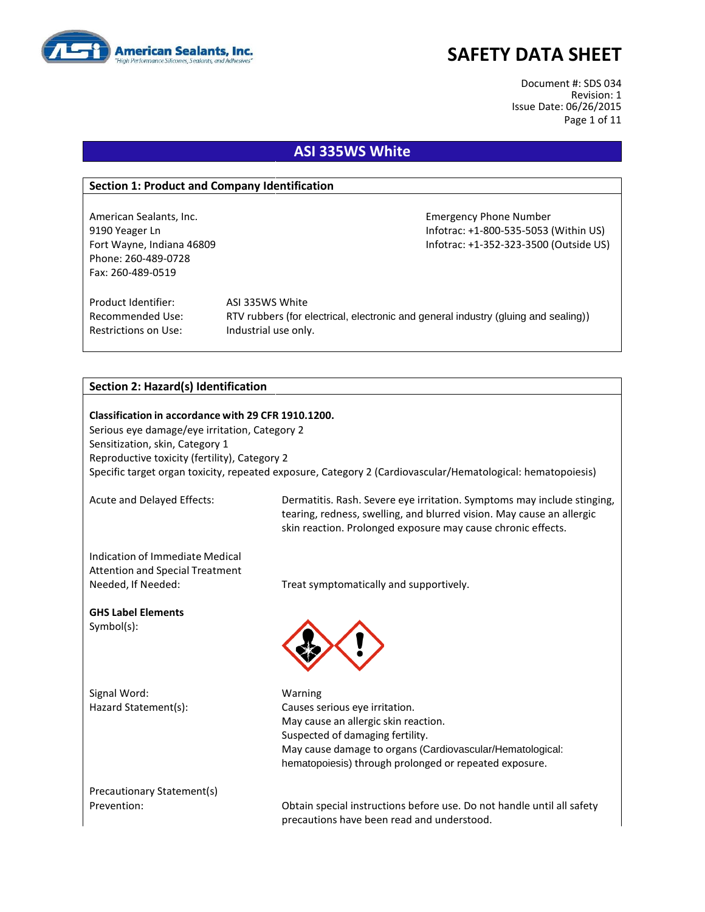

Document #: SDS 034 Revision: 1 Issue Date: 06/26/2015 Page 1 of 11

### **ASI 335WS White**

#### **Section 1: Product and Company Identification**

Phone: 260-489-0728 Fax: 260-489-0519

American Sealants, Inc. **Emergency Phone Number** Emergency Phone Number 9190 Yeager Ln Infotrac: +1-800-535-5053 (Within US) Fort Wayne, Indiana 46809 **Information Controller Server Act 2018** Infotrac: +1-352-323-3500 (Outside US)

Product Identifier: ASI 335WS White Restrictions on Use: Industrial use only.

Recommended Use: RTV rubbers (for electrical, electronic and general industry (gluing and sealing))

#### **Section 2: Hazard(s) Identification**

**Classification in accordance with 29 CFR 1910.1200.** Serious eye damage/eye irritation, Category 2 Sensitization, skin, Category 1 Reproductive toxicity (fertility), Category 2 Specific target organ toxicity, repeated exposure, Category 2 (Cardiovascular/Hematological: hematopoiesis)

Acute and Delayed Effects: Dermatitis. Rash. Severe eye irritation. Symptoms may include stinging, tearing, redness, swelling, and blurred vision. May cause an allergic skin reaction. Prolonged exposure may cause chronic effects.

Indication of Immediate Medical Attention and Special Treatment

**GHS Label Elements** Symbol(s):

Signal Word: Warning

Needed, If Needed: Treat symptomatically and supportively.



Hazard Statement(s): Causes serious eye irritation. May cause an allergic skin reaction. Suspected of damaging fertility. May cause damage to organs (Cardiovascular/Hematological: hematopoiesis) through prolonged or repeated exposure.

Precautionary Statement(s)

Prevention: Obtain special instructions before use. Do not handle until all safety precautions have been read and understood.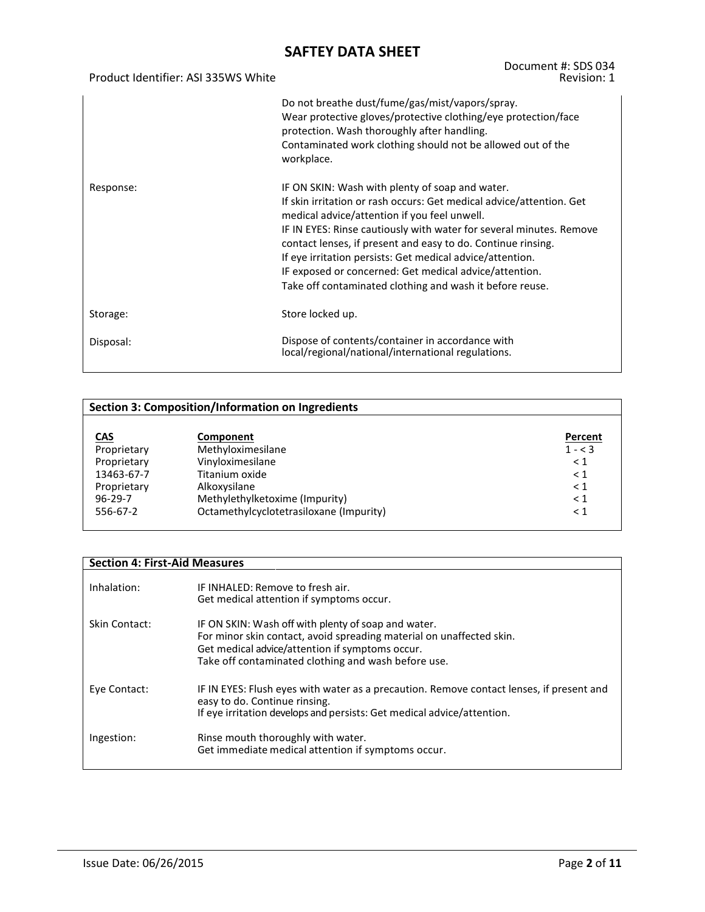Product Identifier: ASI 335WS White

#### Document #: SDS 034 Revision: 1

|           | Do not breathe dust/fume/gas/mist/vapors/spray.<br>Wear protective gloves/protective clothing/eye protection/face<br>protection. Wash thoroughly after handling.<br>Contaminated work clothing should not be allowed out of the<br>workplace.                                                                                                                                                                                                                                                     |
|-----------|---------------------------------------------------------------------------------------------------------------------------------------------------------------------------------------------------------------------------------------------------------------------------------------------------------------------------------------------------------------------------------------------------------------------------------------------------------------------------------------------------|
| Response: | IF ON SKIN: Wash with plenty of soap and water.<br>If skin irritation or rash occurs: Get medical advice/attention. Get<br>medical advice/attention if you feel unwell.<br>IF IN EYES: Rinse cautiously with water for several minutes. Remove<br>contact lenses, if present and easy to do. Continue rinsing.<br>If eye irritation persists: Get medical advice/attention.<br>IF exposed or concerned: Get medical advice/attention.<br>Take off contaminated clothing and wash it before reuse. |
| Storage:  | Store locked up.                                                                                                                                                                                                                                                                                                                                                                                                                                                                                  |
| Disposal: | Dispose of contents/container in accordance with<br>local/regional/national/international regulations.                                                                                                                                                                                                                                                                                                                                                                                            |

|               | <b>Section 3: Composition/Information on Ingredients</b> |           |  |  |  |
|---------------|----------------------------------------------------------|-----------|--|--|--|
|               |                                                          |           |  |  |  |
| <b>CAS</b>    | Component                                                | Percent   |  |  |  |
| Proprietary   | Methyloximesilane                                        | $1 - < 3$ |  |  |  |
| Proprietary   | Vinyloximesilane                                         | $\leq 1$  |  |  |  |
| 13463-67-7    | Titanium oxide                                           | $\leq 1$  |  |  |  |
| Proprietary   | Alkoxysilane                                             | $\leq 1$  |  |  |  |
| $96 - 29 - 7$ | Methylethylketoxime (Impurity)                           | < 1       |  |  |  |
| 556-67-2      | Octamethylcyclotetrasiloxane (Impurity)                  | $\leq 1$  |  |  |  |
|               |                                                          |           |  |  |  |

| <b>Section 4: First-Aid Measures</b> |                                                                                                                                                                                                                                       |
|--------------------------------------|---------------------------------------------------------------------------------------------------------------------------------------------------------------------------------------------------------------------------------------|
| Inhalation:                          | IF INHALED: Remove to fresh air.<br>Get medical attention if symptoms occur.                                                                                                                                                          |
| Skin Contact:                        | IF ON SKIN: Wash off with plenty of soap and water.<br>For minor skin contact, avoid spreading material on unaffected skin.<br>Get medical advice/attention if symptoms occur.<br>Take off contaminated clothing and wash before use. |
| Eye Contact:                         | IF IN EYES: Flush eyes with water as a precaution. Remove contact lenses, if present and<br>easy to do. Continue rinsing.<br>If eye irritation develops and persists: Get medical advice/attention.                                   |
| Ingestion:                           | Rinse mouth thoroughly with water.<br>Get immediate medical attention if symptoms occur.                                                                                                                                              |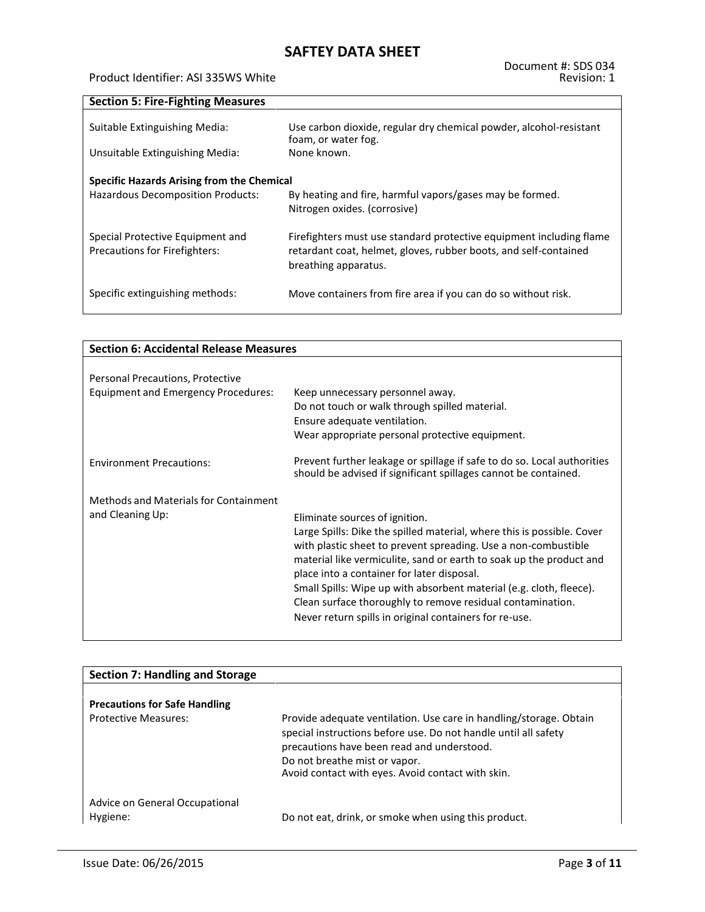#### Product Identifier: ASI 335WS White

**Section 5: Fire-Fighting Measures**

| Suitable Extinguishing Media:<br>Unsuitable Extinguishing Media:         | Use carbon dioxide, regular dry chemical powder, alcohol-resistant<br>foam, or water fog.<br>None known.                                                        |
|--------------------------------------------------------------------------|-----------------------------------------------------------------------------------------------------------------------------------------------------------------|
| Specific Hazards Arising from the Chemical                               |                                                                                                                                                                 |
| Hazardous Decomposition Products:                                        | By heating and fire, harmful vapors/gases may be formed.<br>Nitrogen oxides. (corrosive)                                                                        |
| Special Protective Equipment and<br><b>Precautions for Firefighters:</b> | Firefighters must use standard protective equipment including flame<br>retardant coat, helmet, gloves, rubber boots, and self-contained<br>breathing apparatus. |
| Specific extinguishing methods:                                          | Move containers from fire area if you can do so without risk.                                                                                                   |

| <b>Section 6: Accidental Release Measures</b> |                                                                                                                                            |  |  |
|-----------------------------------------------|--------------------------------------------------------------------------------------------------------------------------------------------|--|--|
|                                               |                                                                                                                                            |  |  |
| Personal Precautions, Protective              |                                                                                                                                            |  |  |
| <b>Equipment and Emergency Procedures:</b>    | Keep unnecessary personnel away.                                                                                                           |  |  |
|                                               | Do not touch or walk through spilled material.                                                                                             |  |  |
|                                               | Ensure adequate ventilation.                                                                                                               |  |  |
|                                               | Wear appropriate personal protective equipment.                                                                                            |  |  |
| <b>Environment Precautions:</b>               | Prevent further leakage or spillage if safe to do so. Local authorities<br>should be advised if significant spillages cannot be contained. |  |  |
| <b>Methods and Materials for Containment</b>  |                                                                                                                                            |  |  |
| and Cleaning Up:                              | Eliminate sources of ignition.                                                                                                             |  |  |
|                                               | Large Spills: Dike the spilled material, where this is possible. Cover                                                                     |  |  |
|                                               | with plastic sheet to prevent spreading. Use a non-combustible                                                                             |  |  |
|                                               | material like vermiculite, sand or earth to soak up the product and<br>place into a container for later disposal.                          |  |  |
|                                               | Small Spills: Wipe up with absorbent material (e.g. cloth, fleece).                                                                        |  |  |
|                                               | Clean surface thoroughly to remove residual contamination.                                                                                 |  |  |
|                                               | Never return spills in original containers for re-use.                                                                                     |  |  |
|                                               |                                                                                                                                            |  |  |

| <b>Section 7: Handling and Storage</b>     |                                                                                                                                                                                                                                                                           |
|--------------------------------------------|---------------------------------------------------------------------------------------------------------------------------------------------------------------------------------------------------------------------------------------------------------------------------|
|                                            |                                                                                                                                                                                                                                                                           |
| <b>Precautions for Safe Handling</b>       |                                                                                                                                                                                                                                                                           |
| <b>Protective Measures:</b>                | Provide adequate ventilation. Use care in handling/storage. Obtain<br>special instructions before use. Do not handle until all safety<br>precautions have been read and understood.<br>Do not breathe mist or vapor.<br>Avoid contact with eyes. Avoid contact with skin. |
| Advice on General Occupational<br>Hygiene: | Do not eat, drink, or smoke when using this product.                                                                                                                                                                                                                      |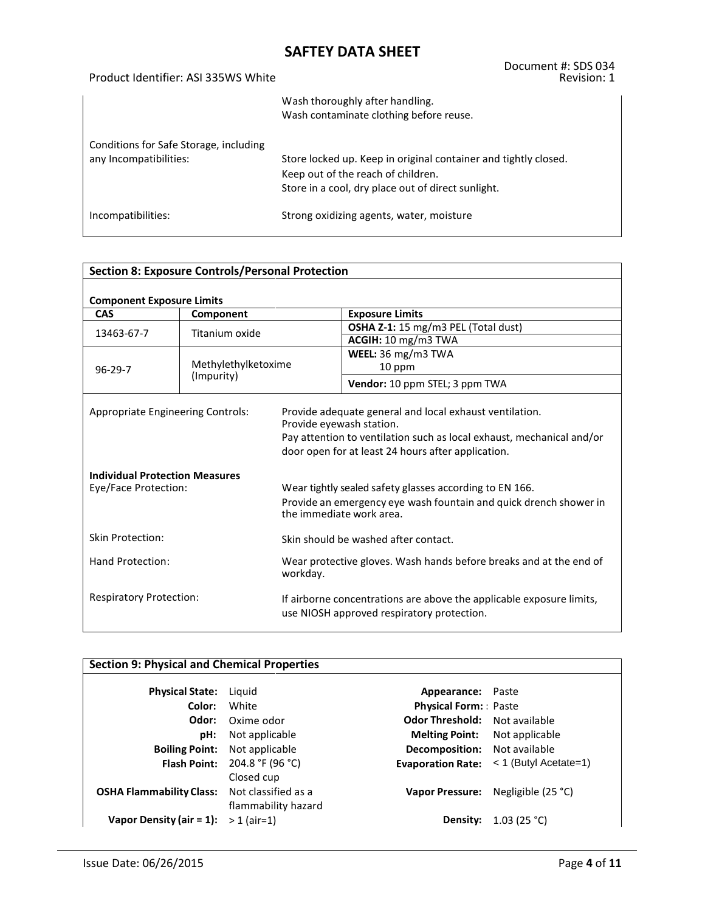Product Identifier: ASI 335WS White

#### Document #: SDS 034 Revision: 1

|                                                                  | Wash thoroughly after handling.<br>Wash contaminate clothing before reuse.                                                                                  |
|------------------------------------------------------------------|-------------------------------------------------------------------------------------------------------------------------------------------------------------|
| Conditions for Safe Storage, including<br>any Incompatibilities: | Store locked up. Keep in original container and tightly closed.<br>Keep out of the reach of children.<br>Store in a cool, dry place out of direct sunlight. |
| Incompatibilities:                                               | Strong oxidizing agents, water, moisture                                                                                                                    |

| <b>Section 8: Exposure Controls/Personal Protection</b>       |                     |                          |                                                                                                                                                                                        |  |
|---------------------------------------------------------------|---------------------|--------------------------|----------------------------------------------------------------------------------------------------------------------------------------------------------------------------------------|--|
| <b>Component Exposure Limits</b>                              |                     |                          |                                                                                                                                                                                        |  |
| <b>CAS</b>                                                    | Component           |                          | <b>Exposure Limits</b>                                                                                                                                                                 |  |
| 13463-67-7                                                    | Titanium oxide      |                          | OSHA Z-1: 15 mg/m3 PEL (Total dust)                                                                                                                                                    |  |
|                                                               |                     |                          | ACGIH: 10 mg/m3 TWA                                                                                                                                                                    |  |
|                                                               |                     |                          | WEEL: 36 mg/m3 TWA                                                                                                                                                                     |  |
| $96 - 29 - 7$                                                 | Methylethylketoxime |                          | 10 ppm                                                                                                                                                                                 |  |
|                                                               | (Impurity)          |                          | Vendor: 10 ppm STEL; 3 ppm TWA                                                                                                                                                         |  |
| <b>Appropriate Engineering Controls:</b>                      |                     | Provide eyewash station. | Provide adequate general and local exhaust ventilation.<br>Pay attention to ventilation such as local exhaust, mechanical and/or<br>door open for at least 24 hours after application. |  |
| <b>Individual Protection Measures</b><br>Eye/Face Protection: |                     |                          | Wear tightly sealed safety glasses according to EN 166.<br>Provide an emergency eye wash fountain and quick drench shower in<br>the immediate work area.                               |  |
| Skin Protection:                                              |                     |                          | Skin should be washed after contact.                                                                                                                                                   |  |
| Hand Protection:<br>workday.                                  |                     |                          | Wear protective gloves. Wash hands before breaks and at the end of                                                                                                                     |  |
| <b>Respiratory Protection:</b>                                |                     |                          | If airborne concentrations are above the applicable exposure limits,<br>use NIOSH approved respiratory protection.                                                                     |  |

| <b>Section 9: Physical and Chemical Properties</b> |                                                          |                                     |                         |  |
|----------------------------------------------------|----------------------------------------------------------|-------------------------------------|-------------------------|--|
| <b>Physical State:</b>                             | Liguid                                                   | Appearance:                         | Paste                   |  |
| Color:                                             | White                                                    | <b>Physical Form:</b> Paste         |                         |  |
| Odor:                                              | Oxime odor                                               | <b>Odor Threshold:</b>              | Not available           |  |
| pH:                                                | Not applicable                                           | <b>Melting Point:</b>               | Not applicable          |  |
| <b>Boiling Point:</b>                              | Not applicable                                           | <b>Decomposition:</b> Not available |                         |  |
| <b>Flash Point:</b>                                | 204.8 °F (96 °C)                                         | <b>Evaporation Rate:</b>            | $<$ 1 (Butyl Acetate=1) |  |
| <b>OSHA Flammability Class:</b>                    | Closed cup<br>Not classified as a<br>flammability hazard | <b>Vapor Pressure:</b>              | Negligible (25 °C)      |  |
| Vapor Density (air $= 1$ ):                        | $> 1$ (air=1)                                            | Density:                            | 1.03 (25 °C)            |  |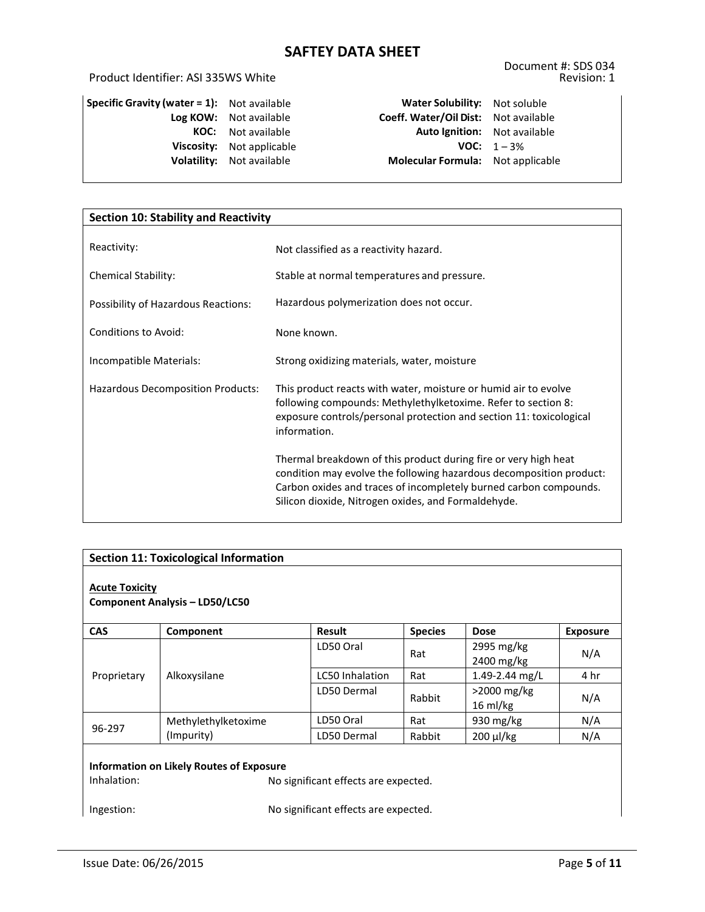### Product Identifier: ASI 335WS White

| Specific Gravity (water $= 1$ ): | Not available  |
|----------------------------------|----------------|
| Log KOW:                         | Not available  |
| KOC:                             | Not available  |
| Viscosity:                       | Not applicable |
| Volatility:                      | Not available  |
|                                  |                |

**Specific Gravity (water = 1):** Not available **Water Solubility:** Not soluble **Log KOW:** Not available **Coeff. Water/Oil Dist:** Not available **Auto Ignition:** Not available **VOC:**  $1 - 3\%$ **Molecular Formula:** Not applicable

| <b>Section 10: Stability and Reactivity</b> |                                                                                                                                          |  |  |
|---------------------------------------------|------------------------------------------------------------------------------------------------------------------------------------------|--|--|
| Reactivity:                                 |                                                                                                                                          |  |  |
|                                             | Not classified as a reactivity hazard.                                                                                                   |  |  |
| <b>Chemical Stability:</b>                  | Stable at normal temperatures and pressure.                                                                                              |  |  |
| Possibility of Hazardous Reactions:         | Hazardous polymerization does not occur.                                                                                                 |  |  |
| <b>Conditions to Avoid:</b>                 | None known.                                                                                                                              |  |  |
| Incompatible Materials:                     | Strong oxidizing materials, water, moisture                                                                                              |  |  |
| Hazardous Decomposition Products:           | This product reacts with water, moisture or humid air to evolve                                                                          |  |  |
|                                             | following compounds: Methylethylketoxime. Refer to section 8:<br>exposure controls/personal protection and section 11: toxicological     |  |  |
|                                             | information.                                                                                                                             |  |  |
|                                             | Thermal breakdown of this product during fire or very high heat                                                                          |  |  |
|                                             | condition may evolve the following hazardous decomposition product:<br>Carbon oxides and traces of incompletely burned carbon compounds. |  |  |
|                                             | Silicon dioxide, Nitrogen oxides, and Formaldehyde.                                                                                      |  |  |

| <b>Section 11: Toxicological Information</b>                                                                                                                 |                     |                        |                |                              |                 |
|--------------------------------------------------------------------------------------------------------------------------------------------------------------|---------------------|------------------------|----------------|------------------------------|-----------------|
| <b>Acute Toxicity</b><br><b>Component Analysis - LD50/LC50</b>                                                                                               |                     |                        |                |                              |                 |
| <b>CAS</b>                                                                                                                                                   | Component           | <b>Result</b>          | <b>Species</b> | <b>Dose</b>                  | <b>Exposure</b> |
|                                                                                                                                                              | Alkoxysilane        | LD50 Oral              | Rat            | 2995 mg/kg<br>2400 mg/kg     | N/A             |
| Proprietary                                                                                                                                                  |                     | <b>LC50 Inhalation</b> | Rat            | 1.49-2.44 mg/L               | 4 hr            |
|                                                                                                                                                              |                     | LD50 Dermal            | Rabbit         | $>$ 2000 mg/kg<br>$16$ ml/kg | N/A             |
|                                                                                                                                                              | Methylethylketoxime | LD50 Oral              | Rat            | 930 $mg/kg$                  | N/A             |
| 96-297                                                                                                                                                       | (Impurity)          | LD50 Dermal            | Rabbit         | 200 µl/kg                    | N/A             |
| <b>Information on Likely Routes of Exposure</b><br>Inhalation:<br>No significant effects are expected.<br>No significant effects are expected.<br>Ingestion: |                     |                        |                |                              |                 |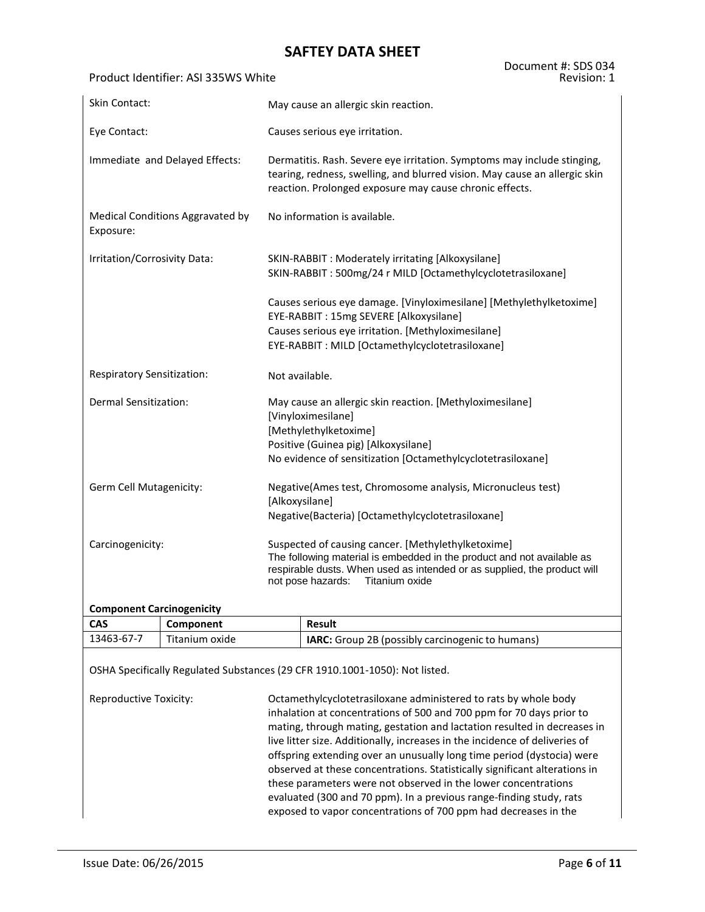#### Product Identifier: ASI 335WS White

| <b>Skin Contact:</b>             |                                  |                                                                                                                                                                                                                                                 | May cause an allergic skin reaction.                                                                                                                                                                                   |  |  |  |  |  |
|----------------------------------|----------------------------------|-------------------------------------------------------------------------------------------------------------------------------------------------------------------------------------------------------------------------------------------------|------------------------------------------------------------------------------------------------------------------------------------------------------------------------------------------------------------------------|--|--|--|--|--|
| Eye Contact:                     |                                  |                                                                                                                                                                                                                                                 | Causes serious eye irritation.                                                                                                                                                                                         |  |  |  |  |  |
| Immediate and Delayed Effects:   |                                  |                                                                                                                                                                                                                                                 | Dermatitis. Rash. Severe eye irritation. Symptoms may include stinging,<br>tearing, redness, swelling, and blurred vision. May cause an allergic skin<br>reaction. Prolonged exposure may cause chronic effects.       |  |  |  |  |  |
| Exposure:                        | Medical Conditions Aggravated by |                                                                                                                                                                                                                                                 | No information is available.                                                                                                                                                                                           |  |  |  |  |  |
| Irritation/Corrosivity Data:     |                                  |                                                                                                                                                                                                                                                 | SKIN-RABBIT : Moderately irritating [Alkoxysilane]<br>SKIN-RABBIT: 500mg/24 r MILD [Octamethylcyclotetrasiloxane]                                                                                                      |  |  |  |  |  |
|                                  |                                  |                                                                                                                                                                                                                                                 | Causes serious eye damage. [Vinyloximesilane] [Methylethylketoxime]<br>EYE-RABBIT: 15mg SEVERE [Alkoxysilane]<br>Causes serious eye irritation. [Methyloximesilane]<br>EYE-RABBIT: MILD [Octamethylcyclotetrasiloxane] |  |  |  |  |  |
| Respiratory Sensitization:       |                                  | Not available.                                                                                                                                                                                                                                  |                                                                                                                                                                                                                        |  |  |  |  |  |
| Dermal Sensitization:            |                                  |                                                                                                                                                                                                                                                 | May cause an allergic skin reaction. [Methyloximesilane]<br>[Vinyloximesilane]<br>[Methylethylketoxime]<br>Positive (Guinea pig) [Alkoxysilane]<br>No evidence of sensitization [Octamethylcyclotetrasiloxane]         |  |  |  |  |  |
| Germ Cell Mutagenicity:          |                                  | Negative(Ames test, Chromosome analysis, Micronucleus test)<br>[Alkoxysilane]<br>Negative(Bacteria) [Octamethylcyclotetrasiloxane]                                                                                                              |                                                                                                                                                                                                                        |  |  |  |  |  |
| Carcinogenicity:                 |                                  | Suspected of causing cancer. [Methylethylketoxime]<br>The following material is embedded in the product and not available as<br>respirable dusts. When used as intended or as supplied, the product will<br>Titanium oxide<br>not pose hazards: |                                                                                                                                                                                                                        |  |  |  |  |  |
| <b>Component Carcinogenicity</b> |                                  |                                                                                                                                                                                                                                                 |                                                                                                                                                                                                                        |  |  |  |  |  |
| <b>CAS</b>                       | Component<br><b>Result</b>       |                                                                                                                                                                                                                                                 |                                                                                                                                                                                                                        |  |  |  |  |  |
| 13463-67-7<br>Titanium oxide     |                                  |                                                                                                                                                                                                                                                 | IARC: Group 2B (possibly carcinogenic to humans)                                                                                                                                                                       |  |  |  |  |  |
|                                  |                                  |                                                                                                                                                                                                                                                 | OSHA Specifically Regulated Substances (29 CFR 1910.1001-1050): Not listed.                                                                                                                                            |  |  |  |  |  |

Reproductive Toxicity: Octamethylcyclotetrasiloxane administered to rats by whole body inhalation at concentrations of 500 and 700 ppm for 70 days prior to mating, through mating, gestation and lactation resulted in decreases in live litter size. Additionally, increases in the incidence of deliveries of offspring extending over an unusually long time period (dystocia) were observed at these concentrations. Statistically significant alterations in these parameters were not observed in the lower concentrations evaluated (300 and 70 ppm). In a previous range-finding study, rats exposed to vapor concentrations of 700 ppm had decreases in the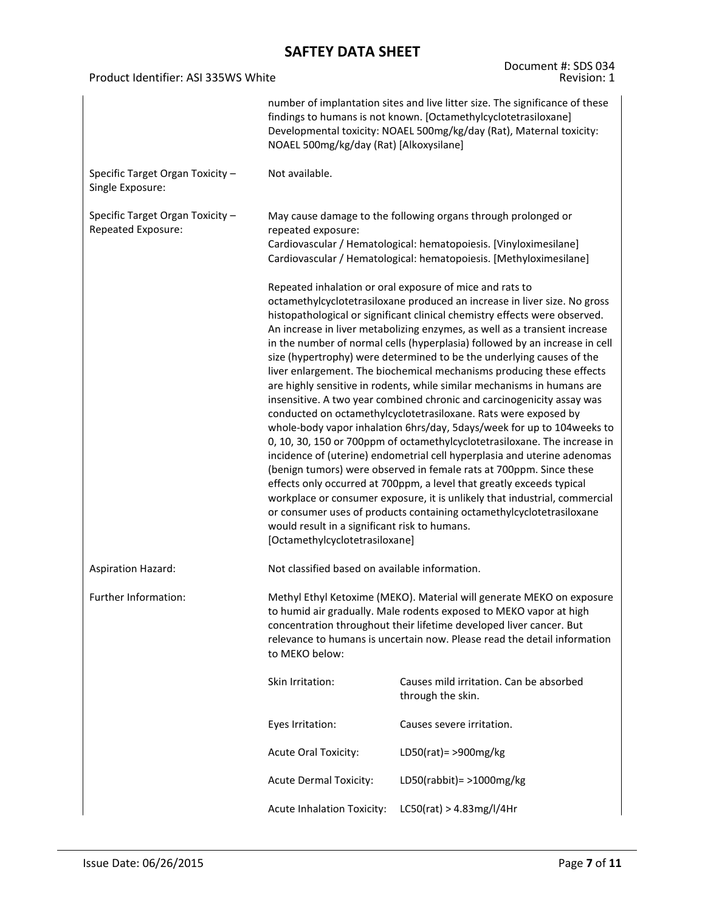#### Product Identifier: ASI 335WS White

Document #: SDS 034 Revision: 1

|                                                        | number of implantation sites and live litter size. The significance of these<br>findings to humans is not known. [Octamethylcyclotetrasiloxane]<br>Developmental toxicity: NOAEL 500mg/kg/day (Rat), Maternal toxicity:<br>NOAEL 500mg/kg/day (Rat) [Alkoxysilane]                                                                                                                                                                                                                                                                                                                                                                                                                                                                                                                                                                                                                                                                                                                                                                                                                                                                                                                                                                                                                                                                                                                      |                                                              |  |  |  |
|--------------------------------------------------------|-----------------------------------------------------------------------------------------------------------------------------------------------------------------------------------------------------------------------------------------------------------------------------------------------------------------------------------------------------------------------------------------------------------------------------------------------------------------------------------------------------------------------------------------------------------------------------------------------------------------------------------------------------------------------------------------------------------------------------------------------------------------------------------------------------------------------------------------------------------------------------------------------------------------------------------------------------------------------------------------------------------------------------------------------------------------------------------------------------------------------------------------------------------------------------------------------------------------------------------------------------------------------------------------------------------------------------------------------------------------------------------------|--------------------------------------------------------------|--|--|--|
| Specific Target Organ Toxicity -<br>Single Exposure:   | Not available.                                                                                                                                                                                                                                                                                                                                                                                                                                                                                                                                                                                                                                                                                                                                                                                                                                                                                                                                                                                                                                                                                                                                                                                                                                                                                                                                                                          |                                                              |  |  |  |
| Specific Target Organ Toxicity -<br>Repeated Exposure: | May cause damage to the following organs through prolonged or<br>repeated exposure:<br>Cardiovascular / Hematological: hematopoiesis. [Vinyloximesilane]<br>Cardiovascular / Hematological: hematopoiesis. [Methyloximesilane]                                                                                                                                                                                                                                                                                                                                                                                                                                                                                                                                                                                                                                                                                                                                                                                                                                                                                                                                                                                                                                                                                                                                                          |                                                              |  |  |  |
|                                                        | Repeated inhalation or oral exposure of mice and rats to<br>octamethylcyclotetrasiloxane produced an increase in liver size. No gross<br>histopathological or significant clinical chemistry effects were observed.<br>An increase in liver metabolizing enzymes, as well as a transient increase<br>in the number of normal cells (hyperplasia) followed by an increase in cell<br>size (hypertrophy) were determined to be the underlying causes of the<br>liver enlargement. The biochemical mechanisms producing these effects<br>are highly sensitive in rodents, while similar mechanisms in humans are<br>insensitive. A two year combined chronic and carcinogenicity assay was<br>conducted on octamethylcyclotetrasiloxane. Rats were exposed by<br>whole-body vapor inhalation 6hrs/day, 5days/week for up to 104 weeks to<br>0, 10, 30, 150 or 700ppm of octamethylcyclotetrasiloxane. The increase in<br>incidence of (uterine) endometrial cell hyperplasia and uterine adenomas<br>(benign tumors) were observed in female rats at 700ppm. Since these<br>effects only occurred at 700ppm, a level that greatly exceeds typical<br>workplace or consumer exposure, it is unlikely that industrial, commercial<br>or consumer uses of products containing octamethylcyclotetrasiloxane<br>would result in a significant risk to humans.<br>[Octamethylcyclotetrasiloxane] |                                                              |  |  |  |
| <b>Aspiration Hazard:</b>                              | Not classified based on available information.                                                                                                                                                                                                                                                                                                                                                                                                                                                                                                                                                                                                                                                                                                                                                                                                                                                                                                                                                                                                                                                                                                                                                                                                                                                                                                                                          |                                                              |  |  |  |
| Further Information:                                   | Methyl Ethyl Ketoxime (MEKO). Material will generate MEKO on exposure<br>to humid air gradually. Male rodents exposed to MEKO vapor at high<br>concentration throughout their lifetime developed liver cancer. But<br>relevance to humans is uncertain now. Please read the detail information<br>to MEKO below:                                                                                                                                                                                                                                                                                                                                                                                                                                                                                                                                                                                                                                                                                                                                                                                                                                                                                                                                                                                                                                                                        |                                                              |  |  |  |
|                                                        | Skin Irritation:                                                                                                                                                                                                                                                                                                                                                                                                                                                                                                                                                                                                                                                                                                                                                                                                                                                                                                                                                                                                                                                                                                                                                                                                                                                                                                                                                                        | Causes mild irritation. Can be absorbed<br>through the skin. |  |  |  |
|                                                        | Eyes Irritation:                                                                                                                                                                                                                                                                                                                                                                                                                                                                                                                                                                                                                                                                                                                                                                                                                                                                                                                                                                                                                                                                                                                                                                                                                                                                                                                                                                        | Causes severe irritation.                                    |  |  |  |
|                                                        | <b>Acute Oral Toxicity:</b>                                                                                                                                                                                                                                                                                                                                                                                                                                                                                                                                                                                                                                                                                                                                                                                                                                                                                                                                                                                                                                                                                                                                                                                                                                                                                                                                                             | LD50(rat) = $>900$ mg/kg                                     |  |  |  |
|                                                        | <b>Acute Dermal Toxicity:</b>                                                                                                                                                                                                                                                                                                                                                                                                                                                                                                                                                                                                                                                                                                                                                                                                                                                                                                                                                                                                                                                                                                                                                                                                                                                                                                                                                           | LD50(rabbit) = $>1000$ mg/kg                                 |  |  |  |
|                                                        | <b>Acute Inhalation Toxicity:</b>                                                                                                                                                                                                                                                                                                                                                                                                                                                                                                                                                                                                                                                                                                                                                                                                                                                                                                                                                                                                                                                                                                                                                                                                                                                                                                                                                       | LC50(rat) > 4.83mg/l/4Hr                                     |  |  |  |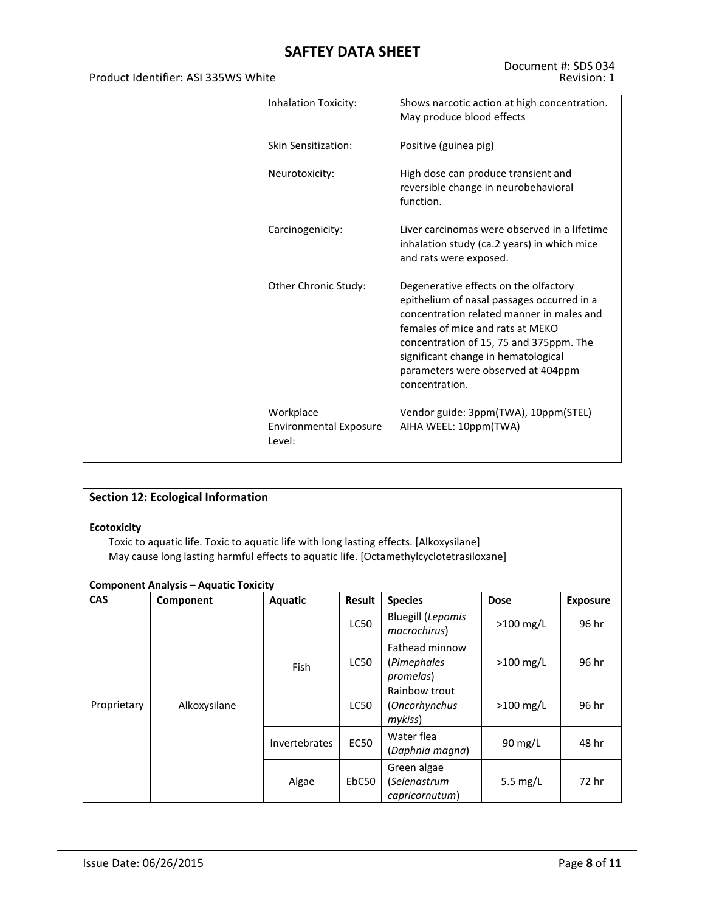| Product Identifier: ASI 335WS White |                                                      | Revision: 1                                                                                                                                                                                                                                                                                                    |
|-------------------------------------|------------------------------------------------------|----------------------------------------------------------------------------------------------------------------------------------------------------------------------------------------------------------------------------------------------------------------------------------------------------------------|
|                                     | <b>Inhalation Toxicity:</b>                          | Shows narcotic action at high concentration.<br>May produce blood effects                                                                                                                                                                                                                                      |
|                                     | Skin Sensitization:                                  | Positive (guinea pig)                                                                                                                                                                                                                                                                                          |
|                                     | Neurotoxicity:                                       | High dose can produce transient and<br>reversible change in neurobehavioral<br>function.                                                                                                                                                                                                                       |
|                                     | Carcinogenicity:                                     | Liver carcinomas were observed in a lifetime<br>inhalation study (ca.2 years) in which mice<br>and rats were exposed.                                                                                                                                                                                          |
|                                     | Other Chronic Study:                                 | Degenerative effects on the olfactory<br>epithelium of nasal passages occurred in a<br>concentration related manner in males and<br>females of mice and rats at MEKO<br>concentration of 15, 75 and 375ppm. The<br>significant change in hematological<br>parameters were observed at 404ppm<br>concentration. |
|                                     | Workplace<br><b>Environmental Exposure</b><br>Level: | Vendor guide: 3ppm(TWA), 10ppm(STEL)<br>AIHA WEEL: 10ppm(TWA)                                                                                                                                                                                                                                                  |

|                    | <b>Section 12: Ecological Information</b>                                                                                                                                                                                        |                      |             |                                               |                   |                 |  |  |
|--------------------|----------------------------------------------------------------------------------------------------------------------------------------------------------------------------------------------------------------------------------|----------------------|-------------|-----------------------------------------------|-------------------|-----------------|--|--|
| <b>Ecotoxicity</b> | Toxic to aquatic life. Toxic to aquatic life with long lasting effects. [Alkoxysilane]<br>May cause long lasting harmful effects to aquatic life. [Octamethylcyclotetrasiloxane]<br><b>Component Analysis - Aquatic Toxicity</b> |                      |             |                                               |                   |                 |  |  |
| <b>CAS</b>         | Component                                                                                                                                                                                                                        | Aquatic              | Result      | <b>Species</b>                                | <b>Dose</b>       | <b>Exposure</b> |  |  |
|                    |                                                                                                                                                                                                                                  | <b>Fish</b>          | <b>LC50</b> | <b>Bluegill (Lepomis</b><br>macrochirus)      | $>100$ mg/L       | 96 hr           |  |  |
|                    |                                                                                                                                                                                                                                  |                      | <b>LC50</b> | Fathead minnow<br>(Pimephales<br>promelas)    | $>100$ mg/L       | 96 hr           |  |  |
| Proprietary        | Alkoxysilane                                                                                                                                                                                                                     |                      | <b>LC50</b> | Rainbow trout<br>(Oncorhynchus<br>mykiss)     | $>100$ mg/L       | 96 hr           |  |  |
|                    |                                                                                                                                                                                                                                  | <b>Invertebrates</b> | <b>EC50</b> | Water flea<br>(Daphnia magna)                 | $90 \text{ mg/L}$ | 48 hr           |  |  |
|                    |                                                                                                                                                                                                                                  | Algae                | EbC50       | Green algae<br>(Selenastrum<br>capricornutum) | 5.5 $mg/L$        | 72 hr           |  |  |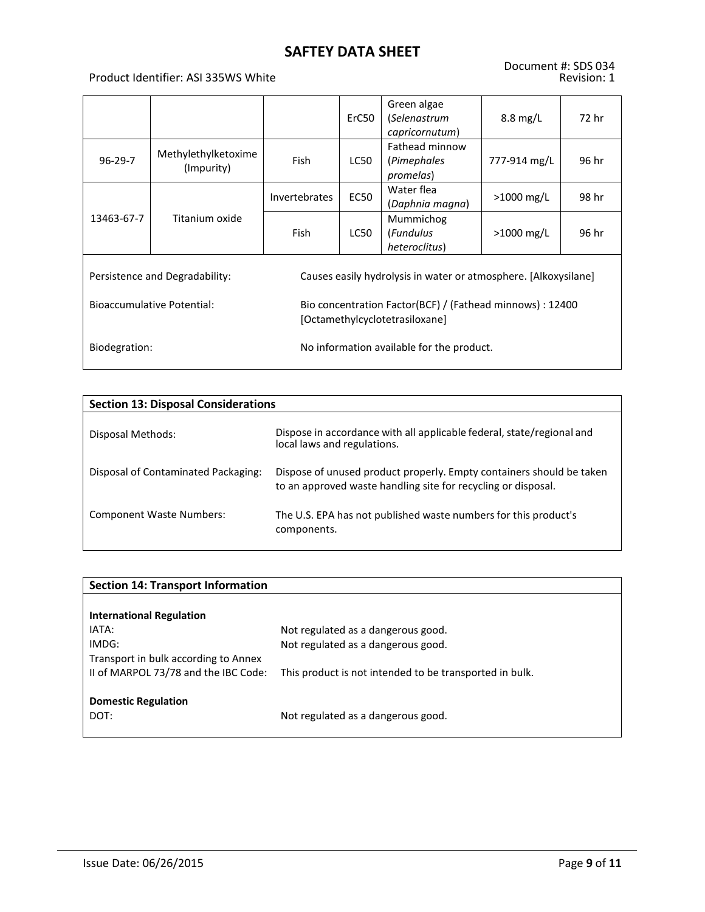#### Product Identifier: ASI 335WS White

|                                   |                                   |                                                                                             | ErC50                                     | Green algae<br>(Selenastrum<br>capricornutum)                   | $8.8 \text{ mg/L}$ | 72 hr |  |
|-----------------------------------|-----------------------------------|---------------------------------------------------------------------------------------------|-------------------------------------------|-----------------------------------------------------------------|--------------------|-------|--|
| $96 - 29 - 7$                     | Methylethylketoxime<br>(Impurity) | Fish                                                                                        | LC50                                      | Fathead minnow<br>(Pimephales<br>promelas)                      | 777-914 mg/L       | 96 hr |  |
|                                   |                                   | <b>Invertebrates</b>                                                                        | <b>EC50</b>                               | Water flea<br>(Daphnia magna)                                   | >1000 mg/L         | 98 hr |  |
| 13463-67-7                        | Titanium oxide                    | <b>Fish</b>                                                                                 | LC50                                      | Mummichog<br>(Fundulus<br>heteroclitus)                         | $>1000$ mg/L       | 96 hr |  |
| Persistence and Degradability:    |                                   |                                                                                             |                                           | Causes easily hydrolysis in water or atmosphere. [Alkoxysilane] |                    |       |  |
| <b>Bioaccumulative Potential:</b> |                                   | Bio concentration Factor(BCF) / (Fathead minnows) : 12400<br>[Octamethylcyclotetrasiloxane] |                                           |                                                                 |                    |       |  |
| Biodegration:                     |                                   |                                                                                             | No information available for the product. |                                                                 |                    |       |  |

| <b>Section 13: Disposal Considerations</b> |                                                                                                                                       |  |  |  |  |  |  |  |
|--------------------------------------------|---------------------------------------------------------------------------------------------------------------------------------------|--|--|--|--|--|--|--|
| Disposal Methods:                          | Dispose in accordance with all applicable federal, state/regional and<br>local laws and regulations.                                  |  |  |  |  |  |  |  |
| Disposal of Contaminated Packaging:        | Dispose of unused product properly. Empty containers should be taken<br>to an approved waste handling site for recycling or disposal. |  |  |  |  |  |  |  |
| <b>Component Waste Numbers:</b>            | The U.S. EPA has not published waste numbers for this product's<br>components.                                                        |  |  |  |  |  |  |  |

| <b>Section 14: Transport Information</b> |                                                         |  |  |  |  |  |  |
|------------------------------------------|---------------------------------------------------------|--|--|--|--|--|--|
|                                          |                                                         |  |  |  |  |  |  |
| <b>International Regulation</b>          |                                                         |  |  |  |  |  |  |
| IATA:                                    | Not regulated as a dangerous good.                      |  |  |  |  |  |  |
| IMDG:                                    | Not regulated as a dangerous good.                      |  |  |  |  |  |  |
| Transport in bulk according to Annex     |                                                         |  |  |  |  |  |  |
| II of MARPOL 73/78 and the IBC Code:     | This product is not intended to be transported in bulk. |  |  |  |  |  |  |
|                                          |                                                         |  |  |  |  |  |  |
| <b>Domestic Regulation</b>               |                                                         |  |  |  |  |  |  |
| DOT:                                     | Not regulated as a dangerous good.                      |  |  |  |  |  |  |
|                                          |                                                         |  |  |  |  |  |  |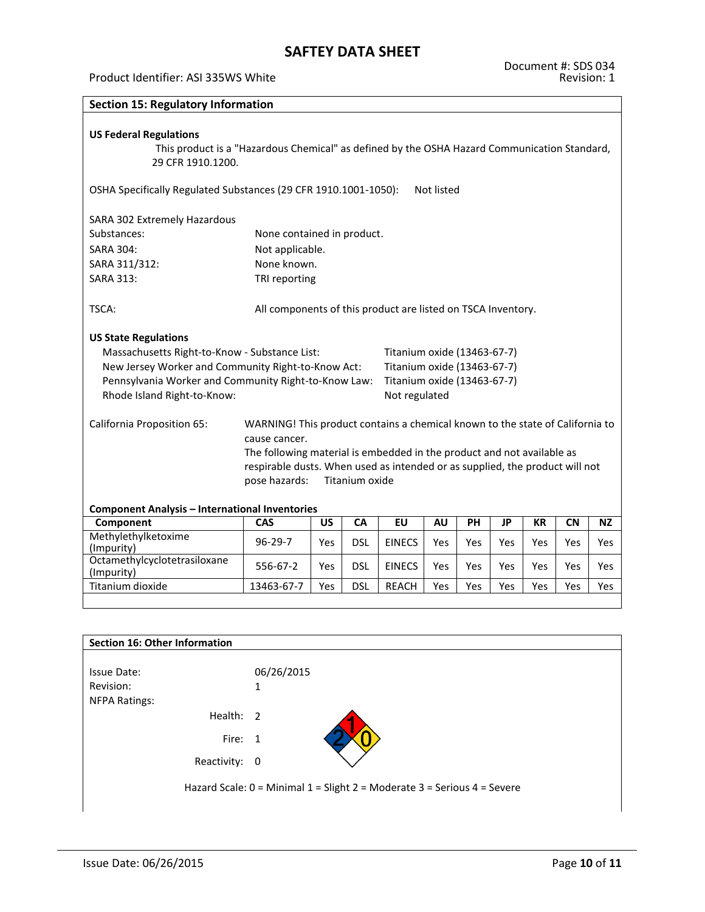#### Product Identifier: ASI 335WS White

| <b>Section 15: Regulatory Information</b>                                                                                                          |                                                                                                                                                                                                                                                                                             |     |            |                             |            |           |           |           |           |           |
|----------------------------------------------------------------------------------------------------------------------------------------------------|---------------------------------------------------------------------------------------------------------------------------------------------------------------------------------------------------------------------------------------------------------------------------------------------|-----|------------|-----------------------------|------------|-----------|-----------|-----------|-----------|-----------|
| <b>US Federal Regulations</b><br>This product is a "Hazardous Chemical" as defined by the OSHA Hazard Communication Standard,<br>29 CFR 1910.1200. |                                                                                                                                                                                                                                                                                             |     |            |                             |            |           |           |           |           |           |
| OSHA Specifically Regulated Substances (29 CFR 1910.1001-1050):                                                                                    |                                                                                                                                                                                                                                                                                             |     |            |                             | Not listed |           |           |           |           |           |
| SARA 302 Extremely Hazardous                                                                                                                       |                                                                                                                                                                                                                                                                                             |     |            |                             |            |           |           |           |           |           |
| Substances:                                                                                                                                        | None contained in product.                                                                                                                                                                                                                                                                  |     |            |                             |            |           |           |           |           |           |
| <b>SARA 304:</b>                                                                                                                                   | Not applicable.                                                                                                                                                                                                                                                                             |     |            |                             |            |           |           |           |           |           |
| SARA 311/312:                                                                                                                                      | None known.                                                                                                                                                                                                                                                                                 |     |            |                             |            |           |           |           |           |           |
| <b>SARA 313:</b>                                                                                                                                   | TRI reporting                                                                                                                                                                                                                                                                               |     |            |                             |            |           |           |           |           |           |
| TSCA:<br>All components of this product are listed on TSCA Inventory.<br><b>US State Regulations</b>                                               |                                                                                                                                                                                                                                                                                             |     |            |                             |            |           |           |           |           |           |
| Massachusetts Right-to-Know - Substance List:                                                                                                      |                                                                                                                                                                                                                                                                                             |     |            | Titanium oxide (13463-67-7) |            |           |           |           |           |           |
| New Jersey Worker and Community Right-to-Know Act:                                                                                                 |                                                                                                                                                                                                                                                                                             |     |            | Titanium oxide (13463-67-7) |            |           |           |           |           |           |
| Pennsylvania Worker and Community Right-to-Know Law:                                                                                               |                                                                                                                                                                                                                                                                                             |     |            | Titanium oxide (13463-67-7) |            |           |           |           |           |           |
| Rhode Island Right-to-Know:                                                                                                                        |                                                                                                                                                                                                                                                                                             |     |            | Not regulated               |            |           |           |           |           |           |
| California Proposition 65:                                                                                                                         | WARNING! This product contains a chemical known to the state of California to<br>cause cancer.<br>The following material is embedded in the product and not available as<br>respirable dusts. When used as intended or as supplied, the product will not<br>pose hazards:<br>Titanium oxide |     |            |                             |            |           |           |           |           |           |
| <b>Component Analysis - International Inventories</b>                                                                                              |                                                                                                                                                                                                                                                                                             |     |            |                             |            |           |           |           |           |           |
| Component<br>Methylethylketoxime                                                                                                                   | CAS                                                                                                                                                                                                                                                                                         | US  | CA         | EU                          | <b>AU</b>  | <b>PH</b> | <b>JP</b> | <b>KR</b> | <b>CN</b> | <b>NZ</b> |
| (Impurity)                                                                                                                                         | $96 - 29 - 7$                                                                                                                                                                                                                                                                               | Yes | <b>DSL</b> | <b>EINECS</b>               | Yes        | Yes       | Yes       | Yes       | Yes       | Yes       |
| Octamethylcyclotetrasiloxane<br>(Impurity)                                                                                                         | 556-67-2                                                                                                                                                                                                                                                                                    | Yes | <b>DSL</b> | <b>EINECS</b>               | Yes        | Yes       | Yes       | Yes       | Yes       | Yes       |

| Section 16: Other Information     |                                                                          |
|-----------------------------------|--------------------------------------------------------------------------|
| <b>Issue Date:</b>                | 06/26/2015                                                               |
| Revision:<br><b>NFPA Ratings:</b> | 1                                                                        |
| Health: 2                         |                                                                          |
| Fire: 1                           |                                                                          |
| Reactivity: 0                     |                                                                          |
|                                   | Hazard Scale: 0 = Minimal 1 = Slight 2 = Moderate 3 = Serious 4 = Severe |

Titanium dioxide 13463-67-7 Yes DSL REACH Yes Yes Yes Yes Yes Yes Yes